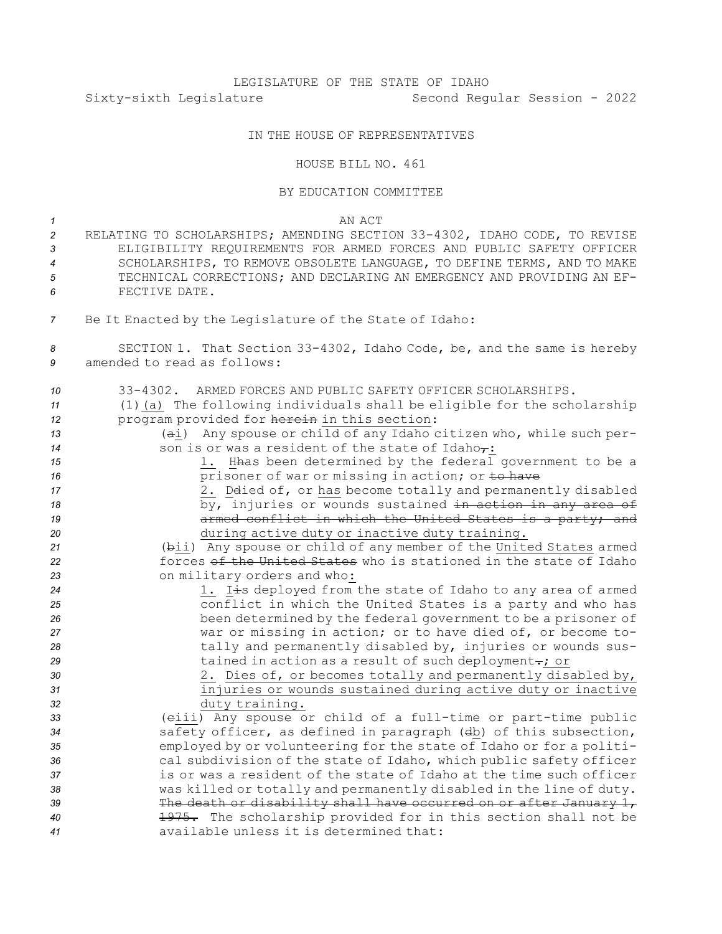# LEGISLATURE OF THE STATE OF IDAHO Sixty-sixth Legislature Second Regular Session - 2022

## IN THE HOUSE OF REPRESENTATIVES

### HOUSE BILL NO. 461

#### BY EDUCATION COMMITTEE

#### *1* AN ACT

- *<sup>2</sup>* RELATING TO SCHOLARSHIPS; AMENDING SECTION 33-4302, IDAHO CODE, TO REVISE *3* ELIGIBILITY REQUIREMENTS FOR ARMED FORCES AND PUBLIC SAFETY OFFICER *4* SCHOLARSHIPS, TO REMOVE OBSOLETE LANGUAGE, TO DEFINE TERMS, AND TO MAKE *5* TECHNICAL CORRECTIONS; AND DECLARING AN EMERGENCY AND PROVIDING AN EF-*6* FECTIVE DATE.
- *<sup>7</sup>* Be It Enacted by the Legislature of the State of Idaho:
- *<sup>8</sup>* SECTION 1. That Section 33-4302, Idaho Code, be, and the same is hereby *9* amended to read as follows:

| 10 | 33-4302. ARMED FORCES AND PUBLIC SAFETY OFFICER SCHOLARSHIPS.           |
|----|-------------------------------------------------------------------------|
| 11 | (1) (a) The following individuals shall be eligible for the scholarship |
| 12 | program provided for herein in this section:                            |
| 13 | (ai) Any spouse or child of any Idaho citizen who, while such per-      |
| 14 | son is or was a resident of the state of Idaho $\tau$ :                 |
| 15 | 1. Hhas been determined by the federal government to be a               |
| 16 | prisoner of war or missing in action; or to have                        |
| 17 | 2. Delied of, or has become totally and permanently disabled            |
| 18 | by, injuries or wounds sustained in action in any area of               |
| 19 | armed conflict in which the United States is a party; and               |
| 20 | during active duty or inactive duty training.                           |
| 21 | (bii) Any spouse or child of any member of the United States armed      |
| 22 | forces of the United States who is stationed in the state of Idaho      |
| 23 | on military orders and who:                                             |
| 24 | 1. Iis deployed from the state of Idaho to any area of armed            |
| 25 | conflict in which the United States is a party and who has              |
| 26 | been determined by the federal government to be a prisoner of           |
| 27 | war or missing in action; or to have died of, or become to-             |
| 28 | tally and permanently disabled by, injuries or wounds sus-              |
| 29 | tained in action as a result of such deployment-; or                    |
| 30 | 2. Dies of, or becomes totally and permanently disabled by,             |
| 31 | injuries or wounds sustained during active duty or inactive             |
| 32 | duty training.                                                          |
| 33 | (eiii) Any spouse or child of a full-time or part-time public           |
| 34 | safety officer, as defined in paragraph (db) of this subsection,        |
| 35 | employed by or volunteering for the state of Idaho or for a politi-     |
| 36 | cal subdivision of the state of Idaho, which public safety officer      |
| 37 | is or was a resident of the state of Idaho at the time such officer     |
| 38 | was killed or totally and permanently disabled in the line of duty.     |
| 39 | The death or disability shall have occurred on or after January 1,      |
| 40 | 1975. The scholarship provided for in this section shall not be         |
| 41 | available unless it is determined that:                                 |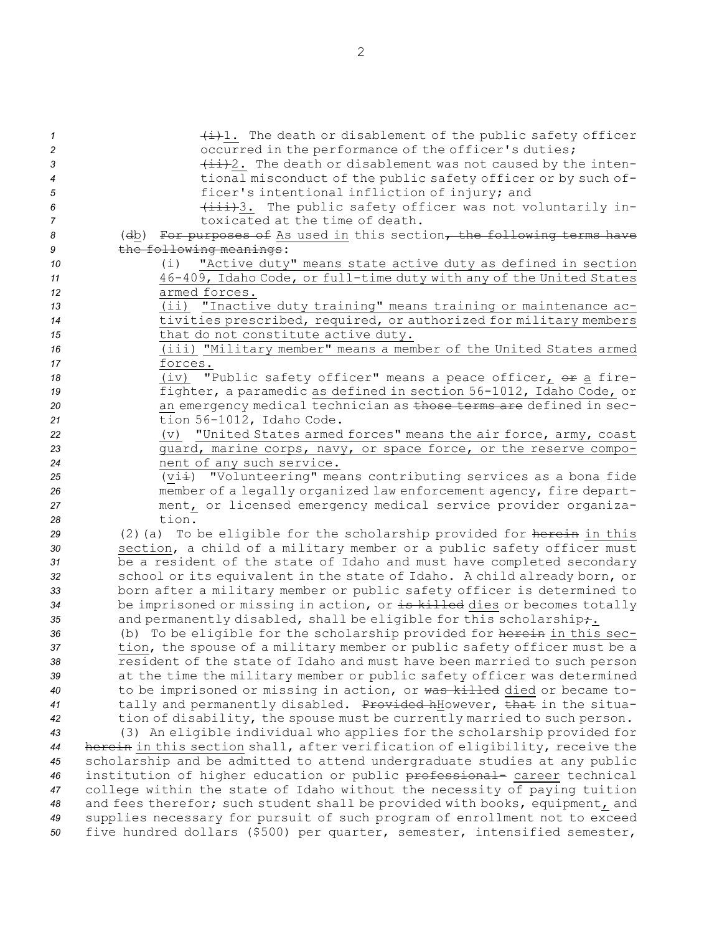| $\mathcal{I}$  | $\frac{1}{2}$ . The death or disablement of the public safety officer        |
|----------------|------------------------------------------------------------------------------|
| $\overline{c}$ | occurred in the performance of the officer's duties;                         |
| 3              | $\{\pm\pm\}$ ?. The death or disablement was not caused by the inten-        |
| 4              | tional misconduct of the public safety officer or by such of-                |
| 5              | ficer's intentional infliction of injury; and                                |
| 6              | (iii)3. The public safety officer was not voluntarily in-                    |
|                | toxicated at the time of death.                                              |
| 7              |                                                                              |
| 8              | (db) For purposes of As used in this section, the following terms have       |
| 9              | the following meanings:                                                      |
| 10             | "Active duty" means state active duty as defined in section<br>(i)           |
| 11             | 46-409, Idaho Code, or full-time duty with any of the United States          |
| 12             | armed forces.                                                                |
| 13             | (ii) "Inactive duty training" means training or maintenance ac-              |
| 14             | tivities prescribed, required, or authorized for military members            |
| 15             | that do not constitute active duty.                                          |
| 16             | (iii) "Military member" means a member of the United States armed            |
| 17             | forces.                                                                      |
| 18             | "Public safety officer" means a peace officer, or a fire-<br>(iv)            |
| 19             | fighter, a paramedic as defined in section 56-1012, Idaho Code, or           |
| 20             | an emergency medical technician as those terms are defined in sec-           |
| 21             | tion 56-1012, Idaho Code.                                                    |
| 22             | (v) "United States armed forces" means the air force, army, coast            |
| 23             | quard, marine corps, navy, or space force, or the reserve compo-             |
| 24             | nent of any such service.                                                    |
| 25             | (vii) "Volunteering" means contributing services as a bona fide              |
| 26             | member of a legally organized law enforcement agency, fire depart-           |
| 27             | ment, or licensed emergency medical service provider organiza-               |
| 28             | tion.                                                                        |
| 29             | (2) (a) To be eligible for the scholarship provided for herein in this       |
| 30             | section, a child of a military member or a public safety officer must        |
| 31             | be a resident of the state of Idaho and must have completed secondary        |
| 32             | school or its equivalent in the state of Idaho. A child already born, or     |
| 33             | born after a military member or public safety officer is determined to       |
| 34             | be imprisoned or missing in action, or is killed dies or becomes totally     |
| 35             | and permanently disabled, shall be eligible for this scholarship+.           |
| 36             | (b) To be eligible for the scholarship provided for herein in this sec-      |
| 37             | tion, the spouse of a military member or public safety officer must be a     |
| 38             | resident of the state of Idaho and must have been married to such person     |
| 39             | at the time the military member or public safety officer was determined      |
| 40             | to be imprisoned or missing in action, or was killed died or became to-      |
| 41             | tally and permanently disabled. Provided hHowever, that in the situa-        |
| 42             | tion of disability, the spouse must be currently married to such person.     |
| 43             | (3) An eligible individual who applies for the scholarship provided for      |
| 44             | herein in this section shall, after verification of eligibility, receive the |
| 45             | scholarship and be admitted to attend undergraduate studies at any public    |
|                | institution of higher education or public professional- career technical     |
| 46             | college within the state of Idaho without the necessity of paying tuition    |
| 47             |                                                                              |
| 48             | and fees therefor; such student shall be provided with books, equipment, and |
| 49             | supplies necessary for pursuit of such program of enrollment not to exceed   |
| 50             | five hundred dollars (\$500) per quarter, semester, intensified semester,    |